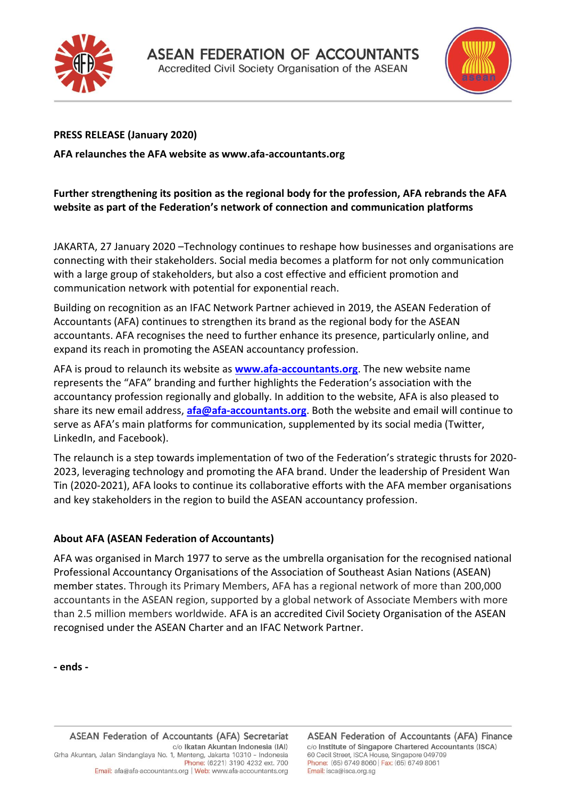



## **PRESS RELEASE (January 2020)**

**AFA relaunches the AFA website as www.afa-accountants.org**

## **Further strengthening its position as the regional body for the profession, AFA rebrands the AFA website as part of the Federation's network of connection and communication platforms**

JAKARTA, 27 January 2020 –Technology continues to reshape how businesses and organisations are connecting with their stakeholders. Social media becomes a platform for not only communication with a large group of stakeholders, but also a cost effective and efficient promotion and communication network with potential for exponential reach.

Building on recognition as an IFAC Network Partner achieved in 2019, the ASEAN Federation of Accountants (AFA) continues to strengthen its brand as the regional body for the ASEAN accountants. AFA recognises the need to further enhance its presence, particularly online, and expand its reach in promoting the ASEAN accountancy profession.

AFA is proud to relaunch its website as **[www.afa-accountants.org](http://www.afa-accountants.org/)**. The new website name represents the "AFA" branding and further highlights the Federation's association with the accountancy profession regionally and globally. In addition to the website, AFA is also pleased to share its new email address, **[afa@afa-accountants.org](mailto:afa@afa-accountants.org)**. Both the website and email will continue to serve as AFA's main platforms for communication, supplemented by its social media (Twitter, LinkedIn, and Facebook).

The relaunch is a step towards implementation of two of the Federation's strategic thrusts for 2020- 2023, leveraging technology and promoting the AFA brand. Under the leadership of President Wan Tin (2020-2021), AFA looks to continue its collaborative efforts with the AFA member organisations and key stakeholders in the region to build the ASEAN accountancy profession.

## **About AFA (ASEAN Federation of Accountants)**

AFA was organised in March 1977 to serve as the umbrella organisation for the recognised national Professional Accountancy Organisations of the Association of Southeast Asian Nations (ASEAN) member states. Through its Primary Members, AFA has a regional network of more than 200,000 accountants in the ASEAN region, supported by a global network of Associate Members with more than 2.5 million members worldwide. AFA is an accredited Civil Society Organisation of the ASEAN recognised under the ASEAN Charter and an IFAC Network Partner.

**- ends -**